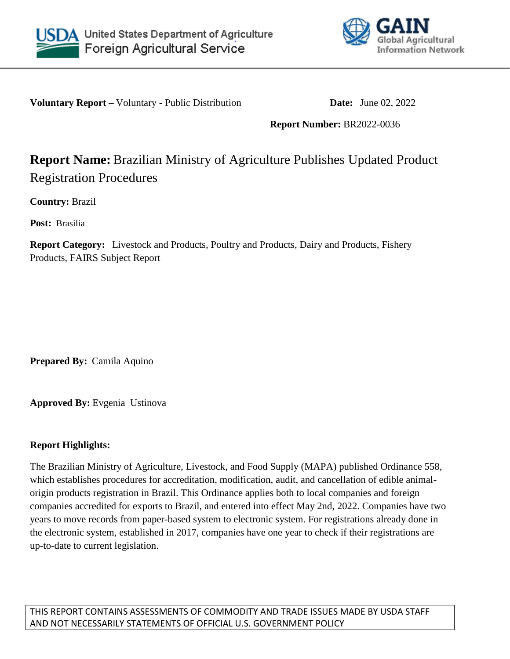



**Voluntary Report** – Voluntary - Public Distribution **Date:** June 02, 2022

**Report Number:** BR2022-0036

# **Report Name:** Brazilian Ministry of Agriculture Publishes Updated Product Registration Procedures

**Country:** Brazil

**Post:** Brasilia

**Report Category:** Livestock and Products, Poultry and Products, Dairy and Products, Fishery Products, FAIRS Subject Report

**Prepared By:** Camila Aquino

**Approved By:** Evgenia Ustinova

## **Report Highlights:**

The Brazilian Ministry of Agriculture, Livestock, and Food Supply (MAPA) published Ordinance 558, which establishes procedures for accreditation, modification, audit, and cancellation of edible animalorigin products registration in Brazil. This Ordinance applies both to local companies and foreign companies accredited for exports to Brazil, and entered into effect May 2nd, 2022. Companies have two years to move records from paper-based system to electronic system. For registrations already done in the electronic system, established in 2017, companies have one year to check if their registrations are up-to-date to current legislation.

THIS REPORT CONTAINS ASSESSMENTS OF COMMODITY AND TRADE ISSUES MADE BY USDA STAFF AND NOT NECESSARILY STATEMENTS OF OFFICIAL U.S. GOVERNMENT POLICY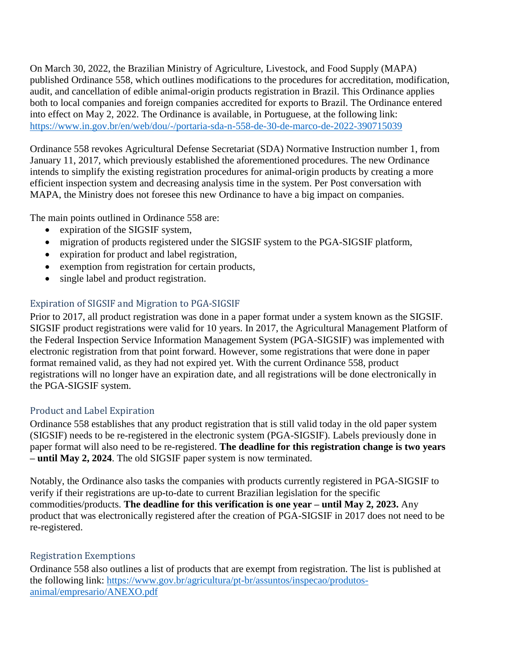On March 30, 2022, the Brazilian Ministry of Agriculture, Livestock, and Food Supply (MAPA) published Ordinance 558, which outlines modifications to the procedures for accreditation, modification, audit, and cancellation of edible animal-origin products registration in Brazil. This Ordinance applies both to local companies and foreign companies accredited for exports to Brazil. The Ordinance entered into effect on May 2, 2022. The Ordinance is available, in Portuguese, at the following link: <https://www.in.gov.br/en/web/dou/-/portaria-sda-n-558-de-30-de-marco-de-2022-390715039>

Ordinance 558 revokes Agricultural Defense Secretariat (SDA) Normative Instruction number 1, from January 11, 2017, which previously established the aforementioned procedures. The new Ordinance intends to simplify the existing registration procedures for animal-origin products by creating a more efficient inspection system and decreasing analysis time in the system. Per Post conversation with MAPA, the Ministry does not foresee this new Ordinance to have a big impact on companies.

The main points outlined in Ordinance 558 are:

- expiration of the SIGSIF system,
- migration of products registered under the SIGSIF system to the PGA-SIGSIF platform,
- expiration for product and label registration,
- exemption from registration for certain products,
- single label and product registration.

## Expiration of SIGSIF and Migration to PGA-SIGSIF

Prior to 2017, all product registration was done in a paper format under a system known as the SIGSIF. SIGSIF product registrations were valid for 10 years. In 2017, the Agricultural Management Platform of the Federal Inspection Service Information Management System (PGA-SIGSIF) was implemented with electronic registration from that point forward. However, some registrations that were done in paper format remained valid, as they had not expired yet. With the current Ordinance 558, product registrations will no longer have an expiration date, and all registrations will be done electronically in the PGA-SIGSIF system.

#### Product and Label Expiration

Ordinance 558 establishes that any product registration that is still valid today in the old paper system (SIGSIF) needs to be re-registered in the electronic system (PGA-SIGSIF). Labels previously done in paper format will also need to be re-registered. **The deadline for this registration change is two years – until May 2, 2024**. The old SIGSIF paper system is now terminated.

Notably, the Ordinance also tasks the companies with products currently registered in PGA-SIGSIF to verify if their registrations are up-to-date to current Brazilian legislation for the specific commodities/products. **The deadline for this verification is one year – until May 2, 2023.** Any product that was electronically registered after the creation of PGA-SIGSIF in 2017 does not need to be re-registered.

#### Registration Exemptions

Ordinance 558 also outlines a list of products that are exempt from registration. The list is published at the following link: [https://www.gov.br/agricultura/pt-br/assuntos/inspecao/produtos](https://www.gov.br/agricultura/pt-br/assuntos/inspecao/produtos-animal/empresario/ANEXO.pdf)[animal/empresario/ANEXO.pdf](https://www.gov.br/agricultura/pt-br/assuntos/inspecao/produtos-animal/empresario/ANEXO.pdf)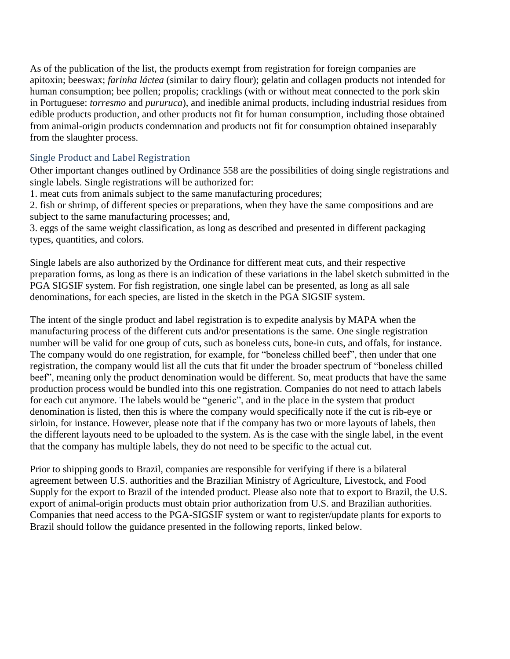As of the publication of the list, the products exempt from registration for foreign companies are apitoxin; beeswax; *farinha láctea* (similar to dairy flour); gelatin and collagen products not intended for human consumption; bee pollen; propolis; cracklings (with or without meat connected to the pork skin – in Portuguese: *torresmo* and *pururuca*), and inedible animal products, including industrial residues from edible products production, and other products not fit for human consumption, including those obtained from animal-origin products condemnation and products not fit for consumption obtained inseparably from the slaughter process.

#### Single Product and Label Registration

Other important changes outlined by Ordinance 558 are the possibilities of doing single registrations and single labels. Single registrations will be authorized for:

1. meat cuts from animals subject to the same manufacturing procedures;

2. fish or shrimp, of different species or preparations, when they have the same compositions and are subject to the same manufacturing processes; and,

3. eggs of the same weight classification, as long as described and presented in different packaging types, quantities, and colors.

Single labels are also authorized by the Ordinance for different meat cuts, and their respective preparation forms, as long as there is an indication of these variations in the label sketch submitted in the PGA SIGSIF system. For fish registration, one single label can be presented, as long as all sale denominations, for each species, are listed in the sketch in the PGA SIGSIF system.

The intent of the single product and label registration is to expedite analysis by MAPA when the manufacturing process of the different cuts and/or presentations is the same. One single registration number will be valid for one group of cuts, such as boneless cuts, bone-in cuts, and offals, for instance. The company would do one registration, for example, for "boneless chilled beef", then under that one registration, the company would list all the cuts that fit under the broader spectrum of "boneless chilled beef", meaning only the product denomination would be different. So, meat products that have the same production process would be bundled into this one registration. Companies do not need to attach labels for each cut anymore. The labels would be "generic", and in the place in the system that product denomination is listed, then this is where the company would specifically note if the cut is rib-eye or sirloin, for instance. However, please note that if the company has two or more layouts of labels, then the different layouts need to be uploaded to the system. As is the case with the single label, in the event that the company has multiple labels, they do not need to be specific to the actual cut.

Prior to shipping goods to Brazil, companies are responsible for verifying if there is a bilateral agreement between U.S. authorities and the Brazilian Ministry of Agriculture, Livestock, and Food Supply for the export to Brazil of the intended product. Please also note that to export to Brazil, the U.S. export of animal-origin products must obtain prior authorization from U.S. and Brazilian authorities. Companies that need access to the PGA-SIGSIF system or want to register/update plants for exports to Brazil should follow the guidance presented in the following reports, linked below.